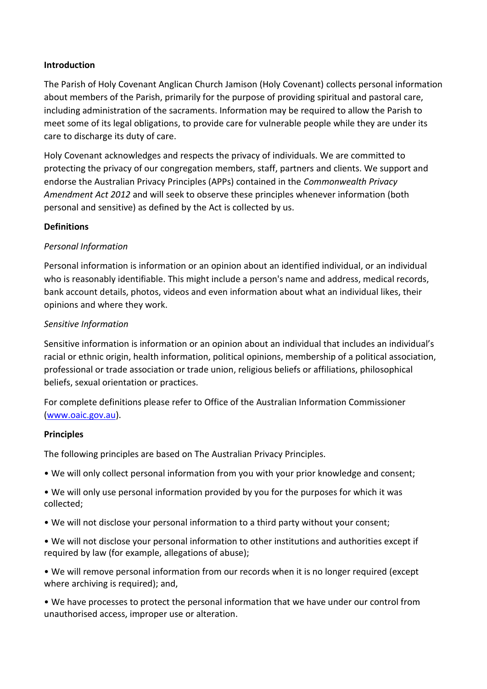### **Introduction**

The Parish of Holy Covenant Anglican Church Jamison (Holy Covenant) collects personal information about members of the Parish, primarily for the purpose of providing spiritual and pastoral care, including administration of the sacraments. Information may be required to allow the Parish to meet some of its legal obligations, to provide care for vulnerable people while they are under its care to discharge its duty of care.

Holy Covenant acknowledges and respects the privacy of individuals. We are committed to protecting the privacy of our congregation members, staff, partners and clients. We support and endorse the Australian Privacy Principles (APPs) contained in the *Commonwealth Privacy Amendment Act 2012* and will seek to observe these principles whenever information (both personal and sensitive) as defined by the Act is collected by us.

#### **Definitions**

## *Personal Information*

Personal information is information or an opinion about an identified individual, or an individual who is reasonably identifiable. This might include a person's name and address, medical records, bank account details, photos, videos and even information about what an individual likes, their opinions and where they work.

#### *Sensitive Information*

Sensitive information is information or an opinion about an individual that includes an individual's racial or ethnic origin, health information, political opinions, membership of a political association, professional or trade association or trade union, religious beliefs or affiliations, philosophical beliefs, sexual orientation or practices.

For complete definitions please refer to Office of the Australian Information Commissioner [\(www.oaic.gov.au\)](http://www.oaic.gov.au/).

#### **Principles**

The following principles are based on The Australian Privacy Principles.

- We will only collect personal information from you with your prior knowledge and consent;
- We will only use personal information provided by you for the purposes for which it was collected;
- We will not disclose your personal information to a third party without your consent;
- We will not disclose your personal information to other institutions and authorities except if required by law (for example, allegations of abuse);
- We will remove personal information from our records when it is no longer required (except where archiving is required); and,

• We have processes to protect the personal information that we have under our control from unauthorised access, improper use or alteration.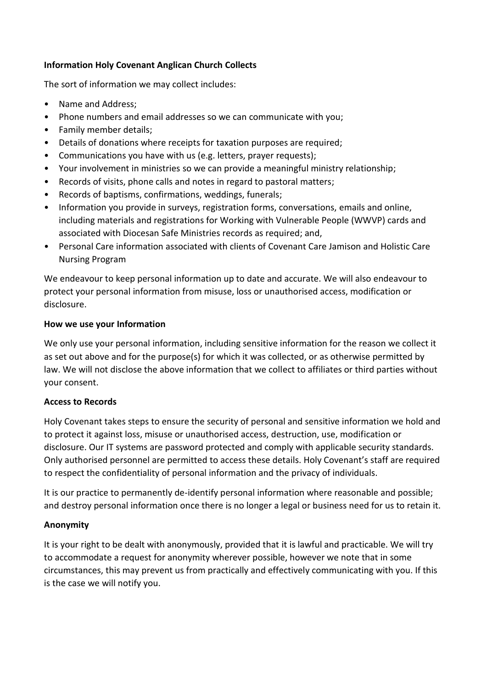# **Information Holy Covenant Anglican Church Collects**

The sort of information we may collect includes:

- Name and Address;
- Phone numbers and email addresses so we can communicate with you;
- Family member details;
- Details of donations where receipts for taxation purposes are required;
- Communications you have with us (e.g. letters, prayer requests);
- Your involvement in ministries so we can provide a meaningful ministry relationship;
- Records of visits, phone calls and notes in regard to pastoral matters;
- Records of baptisms, confirmations, weddings, funerals;
- Information you provide in surveys, registration forms, conversations, emails and online, including materials and registrations for Working with Vulnerable People (WWVP) cards and associated with Diocesan Safe Ministries records as required; and,
- Personal Care information associated with clients of Covenant Care Jamison and Holistic Care Nursing Program

We endeavour to keep personal information up to date and accurate. We will also endeavour to protect your personal information from misuse, loss or unauthorised access, modification or disclosure.

#### **How we use your Information**

We only use your personal information, including sensitive information for the reason we collect it as set out above and for the purpose(s) for which it was collected, or as otherwise permitted by law. We will not disclose the above information that we collect to affiliates or third parties without your consent.

## **Access to Records**

Holy Covenant takes steps to ensure the security of personal and sensitive information we hold and to protect it against loss, misuse or unauthorised access, destruction, use, modification or disclosure. Our IT systems are password protected and comply with applicable security standards. Only authorised personnel are permitted to access these details. Holy Covenant's staff are required to respect the confidentiality of personal information and the privacy of individuals.

It is our practice to permanently de-identify personal information where reasonable and possible; and destroy personal information once there is no longer a legal or business need for us to retain it.

## **Anonymity**

It is your right to be dealt with anonymously, provided that it is lawful and practicable. We will try to accommodate a request for anonymity wherever possible, however we note that in some circumstances, this may prevent us from practically and effectively communicating with you. If this is the case we will notify you.